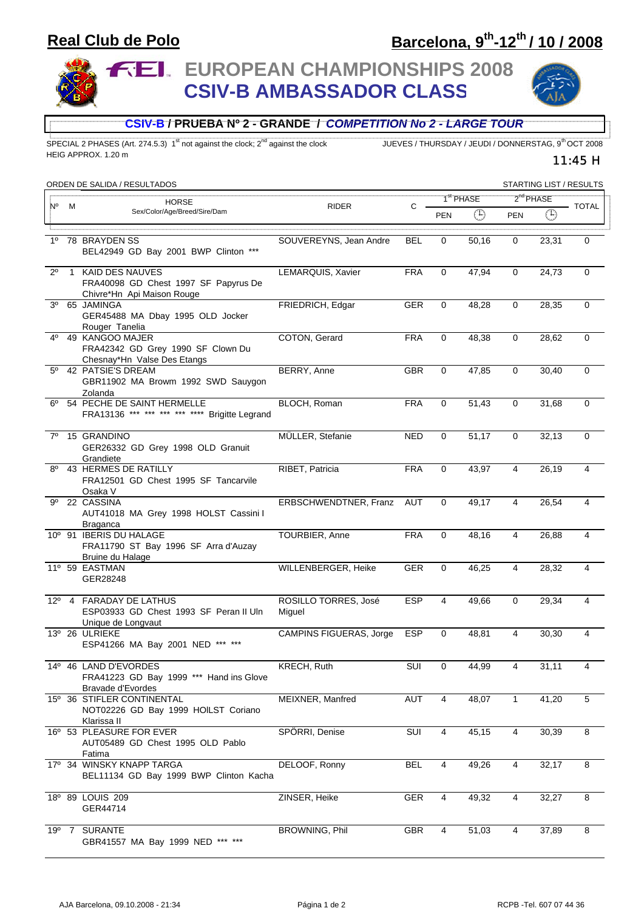### **Real Club de Polo**

# **Barcelona, 9th-12th / 10 / 2008**

**FEI. EUROPEAN CHAMPIONSHIPS 2008 CSIV-B AMBASSADOR CLASS**



11:45 H

#### **CSIV-B / PRUEBA Nº 2 - GRANDE /** *COMPETITION No 2 - LARGE TOUR*

SPECIAL 2 PHASES (Art. 274.5.3) 1<sup>st</sup> not against the clock; 2<sup>nd</sup> against the clock JUEVES / THURSDAY / JEUDI / DONNERSTAG, 9<sup>th</sup> OCT 2008 HEIG APPROX. 1.20 m

| ORDEN DE SALIDA / RESULTADOS<br>STARTING LIST / RESULTS |   |                                                                                         |                                |            |                       |             |                       |               |             |
|---------------------------------------------------------|---|-----------------------------------------------------------------------------------------|--------------------------------|------------|-----------------------|-------------|-----------------------|---------------|-------------|
|                                                         |   | <b>HORSE</b>                                                                            |                                |            | 1 <sup>st</sup> PHASE |             | 2 <sup>nd</sup> PHASE |               |             |
| N°                                                      | M | Sex/Color/Age/Breed/Sire/Dam                                                            | <b>RIDER</b>                   | C          | <b>PEN</b>            | $\bigoplus$ | <b>PEN</b>            | $\circled{1}$ | - TOTAL     |
| $1^{\circ}$                                             |   | 78 BRAYDEN SS<br>BEL42949 GD Bay 2001 BWP Clinton ***                                   | SOUVEREYNS, Jean Andre         | <b>BEL</b> | $\mathbf 0$           | 50,16       | $\mathbf 0$           | 23,31         | $\Omega$    |
| $2^{\circ}$                                             |   | 1 KAID DES NAUVES<br>FRA40098 GD Chest 1997 SF Papyrus De<br>Chivre*Hn Api Maison Rouge | LEMARQUIS, Xavier              | <b>FRA</b> | 0                     | 47,94       | 0                     | 24,73         | $\mathbf 0$ |
| 3 <sup>o</sup>                                          |   | 65 JAMINGA<br>GER45488 MA Dbay 1995 OLD Jocker<br>Rouger Tanelia                        | FRIEDRICH, Edgar               | <b>GER</b> | $\mathbf 0$           | 48,28       | $\mathbf 0$           | 28,35         | $\mathbf 0$ |
| 4°                                                      |   | 49 KANGOO MAJER<br>FRA42342 GD Grey 1990 SF Clown Du<br>Chesnay*Hn Valse Des Etangs     | COTON, Gerard                  | <b>FRA</b> | 0                     | 48,38       | $\mathbf 0$           | 28,62         | $\mathbf 0$ |
| $5^{\circ}$                                             |   | 42 PATSIE'S DREAM<br>GBR11902 MA Browm 1992 SWD Sauygon<br>Zolanda                      | BERRY, Anne                    | <b>GBR</b> | 0                     | 47,85       | $\mathbf 0$           | 30,40         | 0           |
| 6°                                                      |   | 54 PECHE DE SAINT HERMELLE<br>FRA13136 *** *** *** *** **** Brigitte Legrand            | BLOCH, Roman                   | <b>FRA</b> | 0                     | 51,43       | 0                     | 31,68         | $\mathbf 0$ |
| $7^\circ$                                               |   | 15 GRANDINO<br>GER26332 GD Grey 1998 OLD Granuit<br>Grandiete                           | MÜLLER, Stefanie               | <b>NED</b> | $\mathbf 0$           | 51,17       | $\mathbf 0$           | 32, 13        | $\mathbf 0$ |
| $8^{\circ}$                                             |   | 43 HERMES DE RATILLY<br>FRA12501 GD Chest 1995 SF Tancarvile<br>Osaka V                 | RIBET, Patricia                | <b>FRA</b> | $\mathbf 0$           | 43,97       | $\overline{4}$        | 26,19         | 4           |
| 9°                                                      |   | 22 CASSINA<br>AUT41018 MA Grey 1998 HOLST Cassini I<br><b>Braganca</b>                  | ERBSCHWENDTNER, Franz          | AUT        | 0                     | 49,17       | 4                     | 26,54         | 4           |
|                                                         |   | 10° 91 IBERIS DU HALAGE<br>FRA11790 ST Bay 1996 SF Arra d'Auzay<br>Bruine du Halage     | TOURBIER, Anne                 | <b>FRA</b> | $\mathbf 0$           | 48,16       | $\overline{4}$        | 26,88         | 4           |
|                                                         |   | 11º 59 EASTMAN<br>GER28248                                                              | WILLENBERGER, Heike            | <b>GER</b> | $\mathbf 0$           | 46,25       | $\overline{4}$        | 28,32         | 4           |
|                                                         |   | 12º 4 FARADAY DE LATHUS<br>ESP03933 GD Chest 1993 SF Peran II Uln<br>Unique de Longvaut | ROSILLO TORRES, José<br>Miguel | <b>ESP</b> | $\overline{4}$        | 49,66       | $\mathbf 0$           | 29,34         | 4           |
|                                                         |   | 13º 26 ULRIEKE<br>ESP41266 MA Bay 2001 NED *** ***                                      | <b>CAMPINS FIGUERAS, Jorge</b> | <b>ESP</b> | $\Omega$              | 48,81       | 4                     | 30,30         | 4           |
|                                                         |   | 14º 46 LAND D'EVORDES<br>FRA41223 GD Bay 1999 *** Hand ins Glove<br>Bravade d'Evordes   | KRECH, Ruth                    | SUI        | $\overline{0}$        | 44,99       | $\overline{4}$        | 31,11         |             |
|                                                         |   | 15º 36 STIFLER CONTINENTAL<br>NOT02226 GD Bay 1999 HOILST Coriano<br>Klarissa II        | MEIXNER, Manfred               | AUT        | $\overline{4}$        | 48,07       | $\overline{1}$        | 41,20         | 5           |
|                                                         |   | 16º 53 PLEASURE FOR EVER<br>AUT05489 GD Chest 1995 OLD Pablo<br>Fatima                  | SPÖRRI, Denise                 | SUI        | 4                     | 45,15       | 4                     | 30,39         | 8           |
|                                                         |   | 17º 34 WINSKY KNAPP TARGA<br>BEL11134 GD Bay 1999 BWP Clinton Kacha                     | DELOOF, Ronny                  | BEL        | 4                     | 49,26       | $\overline{4}$        | 32,17         | 8           |
|                                                         |   | 18º 89 LOUIS 209<br>GER44714                                                            | ZINSER, Heike                  | <b>GER</b> | 4                     | 49,32       | 4                     | 32,27         | 8           |
|                                                         |   | 19º 7 SURANTE<br>GBR41557 MA Bay 1999 NED *** ***                                       | BROWNING, Phil                 | GBR        | 4                     | 51,03       | 4                     | 37,89         | 8           |